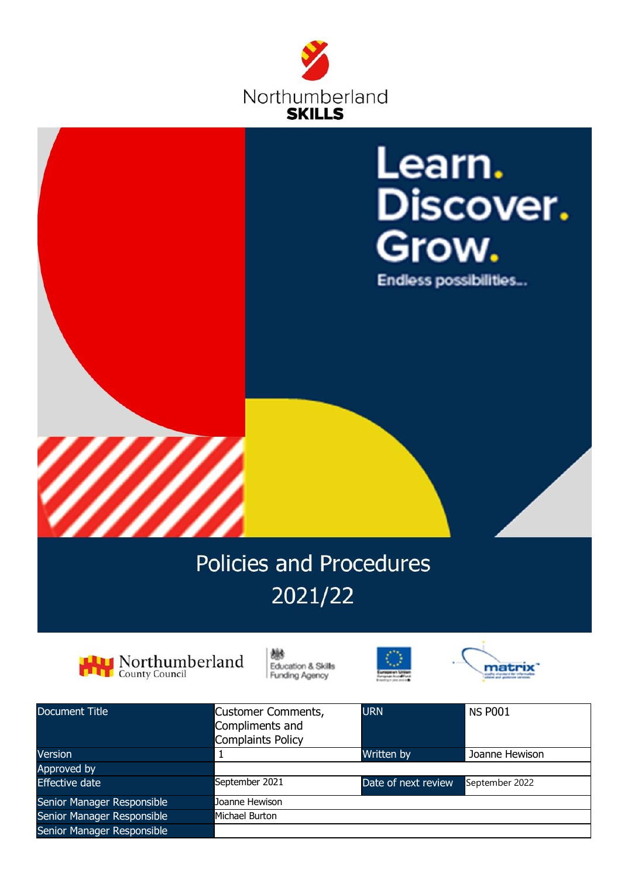



# 2021/22



抛 Education & Skills **Funding Agency** 





| Document Title             | Customer Comments,<br>Compliments and<br><b>Complaints Policy</b> | <b>URN</b>          | <b>NS P001</b> |
|----------------------------|-------------------------------------------------------------------|---------------------|----------------|
| <b>Version</b>             |                                                                   | Written by          | Joanne Hewison |
| Approved by                |                                                                   |                     |                |
| <b>Effective date</b>      | September 2021                                                    | Date of next review | September 2022 |
| Senior Manager Responsible | Joanne Hewison                                                    |                     |                |
| Senior Manager Responsible | Michael Burton                                                    |                     |                |
| Senior Manager Responsible |                                                                   |                     |                |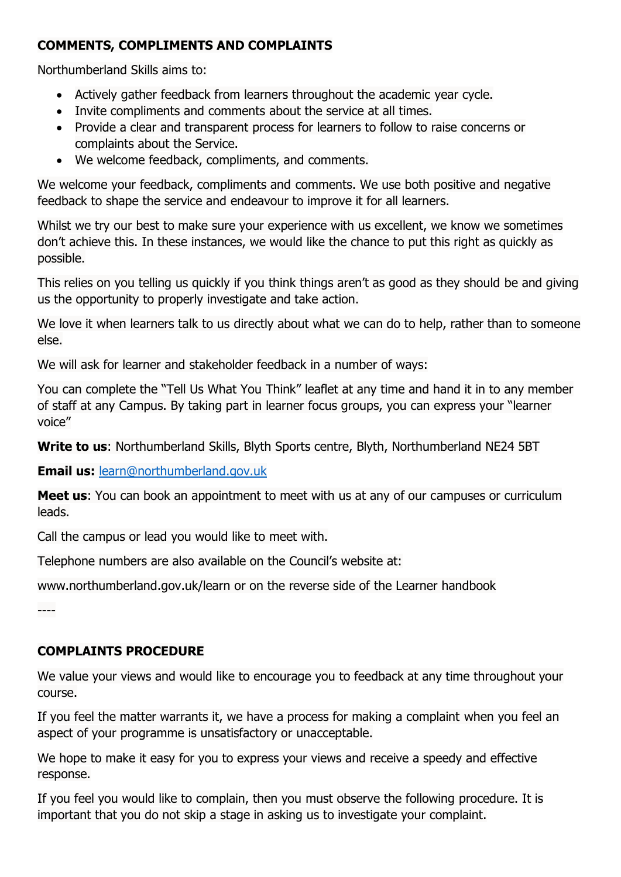## **COMMENTS, COMPLIMENTS AND COMPLAINTS**

Northumberland Skills aims to:

- Actively gather feedback from learners throughout the academic year cycle.
- Invite compliments and comments about the service at all times.
- Provide a clear and transparent process for learners to follow to raise concerns or complaints about the Service.
- We welcome feedback, compliments, and comments.

We welcome your feedback, compliments and comments. We use both positive and negative feedback to shape the service and endeavour to improve it for all learners.

Whilst we try our best to make sure your experience with us excellent, we know we sometimes don't achieve this. In these instances, we would like the chance to put this right as quickly as possible.

This relies on you telling us quickly if you think things aren't as good as they should be and giving us the opportunity to properly investigate and take action.

We love it when learners talk to us directly about what we can do to help, rather than to someone else.

We will ask for learner and stakeholder feedback in a number of ways:

You can complete the "Tell Us What You Think" leaflet at any time and hand it in to any member of staff at any Campus. By taking part in learner focus groups, you can express your "learner voice"

**Write to us**: Northumberland Skills, Blyth Sports centre, Blyth, Northumberland NE24 5BT

**Email us:** [learn@northumberland.gov.uk](mailto:learn@northumberland.gov.uk)

**Meet us**: You can book an appointment to meet with us at any of our campuses or curriculum leads.

Call the campus or lead you would like to meet with.

Telephone numbers are also available on the Council's website at:

www.northumberland.gov.uk/learn or on the reverse side of the Learner handbook

----

# **COMPLAINTS PROCEDURE**

We value your views and would like to encourage you to feedback at any time throughout your course.

If you feel the matter warrants it, we have a process for making a complaint when you feel an aspect of your programme is unsatisfactory or unacceptable.

We hope to make it easy for you to express your views and receive a speedy and effective response.

If you feel you would like to complain, then you must observe the following procedure. It is important that you do not skip a stage in asking us to investigate your complaint.